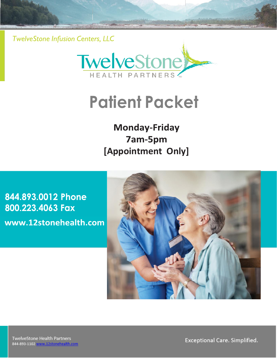**TwelveStone Infusion Centers, LLC** 



# **Patient Packet**

# **Monday-Friday 7am-5pm 8:00 AM to 7:00 PM [Appointment Only]**

**615-278-3350 Phone [615-278-1923](http://www.12stonehealth.com/) Fax** www.12stonehealth.com

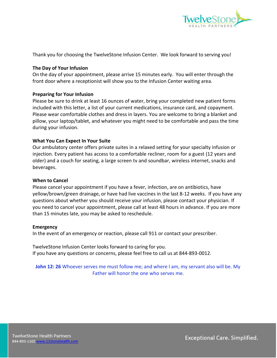

Thank you for choosing the TwelveStone Infusion Center. We look forward to serving you!

#### **The Day of Your Infusion**

On the day of your appointment, please arrive 15 minutes early. You will enter through the front door where a receptionist will show you to the Infusion Center waiting area.

#### **Preparing for Your Infusion**

Please be sure to drink at least 16 ounces of water, bring your completed new patient forms included with this letter, a list of your current medications, insurance card, and copayment. Please wear comfortable clothes and dress in layers. You are welcome to bring a blanket and pillow, your laptop/tablet, and whatever you might need to be comfortable and pass the time during your infusion.

#### **What You Can Expect In Your Suite**

Our ambulatory center offers private suites in a relaxed setting for your specialty infusion or injection. Every patient has access to a comfortable recliner, room for a guest (12 years and older) and a couch for seating, a large screen tv and soundbar, wireless internet, snacks and beverages.

#### **When to Cancel**

Please cancel your appointment if you have a fever, infection, are on antibiotics, have yellow/brown/green drainage, or have had live vaccines in the last 8-12 weeks. If you have any questions about whether you should receive your infusion, please contact your physician. If you need to cancel your appointment, please call at least 48 hours in advance. If you are more than 15 minutes late, you may be asked to reschedule.

#### **Emergency**

In the event of an emergency or reaction, please call 911 or contact your prescriber.

TwelveStone Infusion Center looks forward to caring for you. If you have any questions or concerns, please feel free to call us at 844-893-0012.

**John 12: 26** Whoever serves me must follow me; and where I am, my servant also will be. My Father will honor the one who serves me.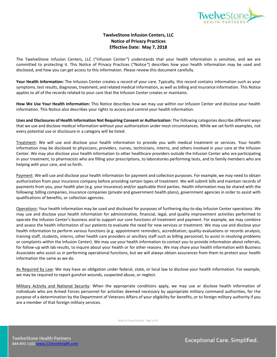

#### **TwelveStone Infusion Centers, LLC Notice of Privacy Practices Effective Date: May 7, 2018**

The TwelveStone Infusion Centers, LLC ("Infusion Center*"*) understands that your health information is sensitive, and we are committed to protecting it. This Notice of Privacy Practices ("Notice*"*) describes how your health information may be used and disclosed, and how you can get access to this information. Please review this document carefully.

**Your Health Information:** The Infusion Center creates a record of your care. Typically, this record contains information such as your symptoms, test results, diagnoses, treatment, and related medical information, as well as billing and insurance information. This Notice applies to all of the records related to your care that the Infusion Center creates or maintains.

**How We Use Your Health Information:** This Notice describes how we may use within our Infusion Center and disclose your health information. This Notice also describes your rights to access and control your health information.

**Uses and Disclosures of Health Information Not Requiring Consent or Authorization**: The following categories describe different ways that we use and disclose medical information without your authorization under most circumstances. While we set forth examples, not every potential use or disclosure in a category will be listed.

Treatment: We will use and disclose your health information to provide you with medical treatment or services. Your health information may be disclosed to physicians, providers, nurses, technicians, interns, and others involved in your care at the Infusion Center. We may also disclose your health information to other healthcare providers outside the Infusion Center who are participating in your treatment, to pharmacists who are filling your prescriptions, to laboratories performing tests, and to family members who are helping with your care, and so forth.

Payment: We will use and disclose your health information for payment and collection purposes. For example, we may need to obtain authorization from your insurance company before providing certain types of treatment. We will submit bills and maintain records of payments from you, your health plan (e.g. your insurance) and/or applicable third parties. Health information may be shared with the following: billing companies, insurance companies (private and government health plans), government agencies in order to assist with qualifications of benefits, or collection agencies.

Operations: Your health information may be used and disclosed for purposes of furthering day-to-day Infusion Center operations. We may use and disclose your health information for administrative, financial, legal, and quality improvement activities performed to operate the Infusion Center's business and to support our core functions of treatment and payment. For example, we may combine and assess the health information of our patients to evaluate the need for new services or treatment. We may use and disclose your health information to perform various functions (e.g. appointment reminders, accreditation; quality evaluations or records analysis; training staff, students, interns, other health care providers or ancillary staff such as billing personnel, to assist in resolving problems or complaints within the Infusion Center). We may use your health information to contact you to provide information about referrals, for follow-up with lab results, to inquire about your health or for other reasons. We may share your health information with Business Associates who assist us in performing operational functions, but we will always obtain assurances from them to protect your health information the same as we do.

As Required by Law: We may have an obligation under federal, state, or local law to disclose your health information. For example, we may be required to report gunshot wounds, suspected abuse, or neglect.

Military Activity and National Security: When the appropriate conditions apply, we may use or disclose health information of individuals who are Armed Forces personnel for activities deemed necessary by appropriate military command authorities, for the purpose of a determination by the Department of Veterans Affairs of your eligibility for benefits, or to foreign military authority if you are a member of that foreign military services.

Notice of Privacy Practices: Page **1** of **4**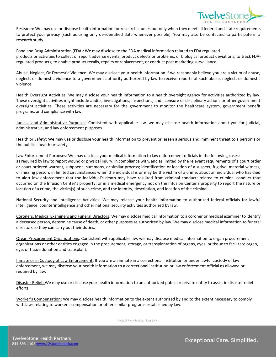

Research: We may use or disclose health information for research studies but only when they meet all federal and state requirements to protect your privacy (such as using only de-identified data whenever possible). You may also be contacted to participate in a research study.

Food and Drug Administration (FDA): We may disclose to the FDA medical information related to FDA regulated products or activities to collect or report adverse events, product defects or problems, or biological product deviations, to track FDAregulated products; to enable product recalls, repairs or replacement, or conduct post marketing surveillance.

Abuse, Neglect, Or Domestic Violence: We may disclose your health information if we reasonably believe you are a victim of abuse, neglect, or domestic violence to a government authority authorized by law to receive reports of such abuse, neglect, or domestic violence.

Health Oversight Activities: We may disclose your health information to a health oversight agency for activities authorized by law. These oversight activities might include audits, investigations, inspections, and licensure or disciplinary actions or other government oversight activities. These activities are necessary for the government to monitor the healthcare system, government benefit programs, and compliance with law.

Judicial and Administrative Purposes: Consistent with applicable law, we may disclose health information about you for judicial, administrative, and law enforcement purposes.

Health or Safety: We may use or disclose your health information to prevent or lessen a serious and imminent threat to a person's or the public's health or safety.

Law Enforcement Purposes: We may disclose your medical information to law enforcement officials in the following cases: as required by law to report wound or physical injury; in compliance with, and as limited by the relevant requirements of a court order or court-ordered warrant, subpoena, summons, or similar process; identification or location of a suspect, fugitive, material witness, or missing person; in limited circumstances when the individual is or may be the victim of a crime; about an individual who has died to alert law enforcement that the individual's death may have resulted from criminal conduct; related to criminal conduct that occurred on the Infusion Center's property; or in a medical emergency not on the Infusion Center's property to report the nature or location of a crime, the victim(s) of such crime, and the identity, description, and location of the criminal.

National Security and Intelligence Activities: We may release your health information to authorized federal officials for lawful intelligence, counterintelligence and other national security activities authorized by law.

Coroners, Medical Examiners and Funeral Directors: We may disclose medical information to a coroner or medical examiner to identify a deceased person, determine cause of death, or other purposes as authorized by law. We may disclose medical information to funeral directors so they can carry out their duties.

Organ Procurement Organizations: Consistent with applicable law, we may disclose medical information to organ procurement organizations or other entities engaged in the procurement, storage, or transplantation of organs, eyes, or tissue to facilitate organ, eye, or tissue donation and transplant.

Inmate or in Custody of Law Enforcement: If you are an inmate in a correctional institution or under lawful custody of law enforcement, we may disclose your health information to a correctional institution or law enforcement official as allowed or required by law.

Disaster Relief: We may use or disclose your health information to an authorized public or private entity to assist in disaster relief efforts.

Worker's Compensation: We may disclose health information to the extent authorized by and to the extent necessary to comply with laws relating to worker's compensation or other similar programs established by law.

Notice of Privacy Practices: Page **2** of **4**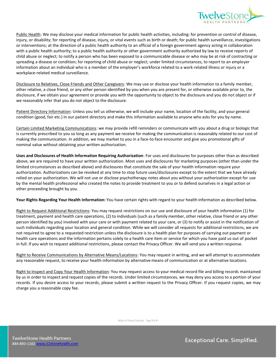

Public Health: We may disclose your medical information for public health activities, including: for prevention or control of disease, injury, or disability; for reporting of disease, injury, or vital events such as birth or death; for public health surveillance, investigations or interventions; at the direction of a public health authority to an official of a foreign government agency acting in collaboration with a public health authority; to a public health authority or other government authority authorized by law to receive reports of child abuse or neglect; to notify a person who has been exposed to a communicable disease or who may be at risk of contracting or spreading a disease or condition; for reporting of child abuse or neglect; under limited circumstances, to report to an employer information about an individual who is a member of the employer's workforce related to a work-related illness or injury or a workplace-related medical surveillance.

Disclosure to Relatives, Close Friends and Other Caregivers: We may use or disclose your health information to a family member, other relative, a close friend, or any other person identified by you when you are present for, or otherwise available prior to, the disclosure, if we obtain your agreement or provide you with the opportunity to object to the disclosure and you do not object or if we reasonably infer that you do not object to the disclosure.

Patient Directory Information: Unless you tell us otherwise, we will include your name, location of the facility, and your general condition (good, fair etc.) in our patient directory and make this information available to anyone who asks for you by name.

Certain Limited Marketing Communications: we may provide refill reminders or communicate with you about a drug or biologic that is currently prescribed to you so long as any payment we receive for making the communication is reasonably related to our cost of making the communication. In addition, we may market to you in a face-to-face encounter and give you promotional gifts of nominal value without obtaining your written authorization.

**Uses and Disclosures of Health Information Requiring Authorization**: For uses and disclosures for purposes other than as described above, we are required to have your written authorization. Most uses and disclosures for marketing purposes (other than under the limited circumstances as described above) and disclosures that constitute the sale of your health information require your authorization. Authorizations can be revoked at any time to stop future uses/disclosures except to the extent that we have already relied on your authorization. We will not use or disclose psychotherapy notes about you without your authorization except for use by the mental health professional who created the notes to provide treatment to you or to defend ourselves in a legal action or other proceeding brought by you.

**Your Rights Regarding Your Health Information:** You have certain rights with regard to your health information as described below.

Right to Request Additional Restrictions: You may request restrictions on our use and disclosure of your health information (1) for treatment, payment and health care operations, (2) to individuals (such as a family member, other relative, close friend or any other person identified by you) involved with your care or with payment related to your care, or (3) to notify or assist in the notification of such individuals regarding your location and general condition. While we will consider all requests for additional restrictions, we are not required to agree to a requested restriction unless the disclosure is to a health plan for purposes of carrying out payment or health care operations and the information pertains solely to a health care item or service for which you have paid us out of pocket in full. If you wish to request additional restrictions, please contact the Privacy Officer. We will send you a written response.

Right to Receive Communications by Alternative Means/Locations: You may request in writing, and we will attempt to accommodate any reasonable request, to receive your health information by alternative means of communication or at alternative locations.

Right to Inspect and Copy Your Health Information: You may request access to your medical record file and billing records maintained by us in order to inspect and request copies of the records. Under limited circumstances, we may deny you access to a portion of your records. If you desire access to your records, please submit a written request to the Privacy Officer. If you request copies, we may charge you a reasonable copy fee.

Notice of Privacy Practices: Page **3** of **4**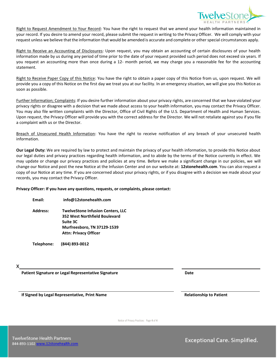

Right to Request Amendment to Your Record: You have the right to request that we amend your health information maintained in your record. If you desire to amend your record, please submit the request in writing to the Privacy Officer. We will comply with your request unless we believe that the information that would be amended is accurate and complete or other special circumstances apply.

Right to Receive an Accounting of Disclosures: Upon request, you may obtain an accounting of certain disclosures of your health information made by us during any period of time prior to the date of your request provided such period does not exceed six years. If you request an accounting more than once during a 12- month period, we may charge you a reasonable fee for the accounting statement.

Right to Receive Paper Copy of this Notice: You have the right to obtain a paper copy of this Notice from us, upon request. We will provide you a copy of this Notice on the first day we treat you at our facility. In an emergency situation, we will give you this Notice as soon as possible.

Further Information; Complaints: If you desire further information about your privacy rights, are concerned that we have violated your privacy rights or disagree with a decision that we made about access to your health information, you may contact the Privacy Officer. You may also file written complaints with the Director, Office of Civil Rights of the U.S. Department of Health and Human Services. Upon request, the Privacy Officer will provide you with the correct address for the Director. We will not retaliate against you if you file a complaint with us or the Director.

Breach of Unsecured Health Information: You have the right to receive notification of any breach of your unsecured health information.

**Our Legal Duty:** We are required by law to protect and maintain the privacy of your health information, to provide this Notice about our legal duties and privacy practices regarding health information, and to abide by the terms of the Notice currently in effect. We may update or change our privacy practices and policies at any time. Before we make a significant change in our policies, we will change our Notice and post the new Notice at the Infusion Center and on our website at: **12stonehealth.com**. You can also request a copy of our Notice at any time. If you are concerned about your privacy rights, or if you disagree with a decision we made about your records, you may contact the Privacy Officer.

#### **Privacy Officer: If you have any questions, requests, or complaints, please contact:**

| Email: | info@12stonehealth.com |
|--------|------------------------|
|        |                        |

**Address: TwelveStone Infusion Centers, LLC 352 West Northfield Boulevard Suite 3C Murfreesboro, TN 37129-1539 Attn: Privacy Officer**

**Telephone: (844) 893-0012**

**X** 

**Patient Signature or Legal Representative Signature Date**

**If Signed by Legal Representative, Print Name Relationship to Patient**

Notice of Privacy Practices: Page **4** of **4**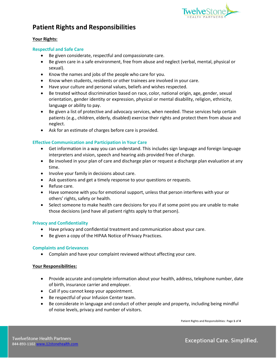

## **Patient Rights and Responsibilities**

#### **Your Rights:**

#### **Respectful and Safe Care**

- Be given considerate, respectful and compassionate care.
- Be given care in a safe environment, free from abuse and neglect (verbal, mental, physical or sexual).
- Know the names and jobs of the people who care for you.
- Know when students, residents or other trainees are involved in your care.
- Have your culture and personal values, beliefs and wishes respected.
- Be treated without discrimination based on race, color, national origin, age, gender, sexual orientation, gender identity or expression, physical or mental disability, religion, ethnicity, language or ability to pay.
- Be given a list of protective and advocacy services, when needed. These services help certain patients (e.g., children, elderly, disabled) exercise their rights and protect them from abuse and neglect.
- Ask for an estimate of charges before care is provided.

#### **Effective Communication and Participation in Your Care**

- Get information in a way you can understand. This includes sign language and foreign language interpreters and vision, speech and hearing aids provided free of charge.
- Be involved in your plan of care and discharge plan or request a discharge plan evaluation at any time.
- Involve your family in decisions about care.
- Ask questions and get a timely response to your questions or requests.
- Refuse care.
- Have someone with you for emotional support, unless that person interferes with your or others' rights, safety or health.
- Select someone to make health care decisions for you if at some point you are unable to make those decisions (and have all patient rights apply to that person).

#### **Privacy and Confidentiality**

- Have privacy and confidential treatment and communication about your care.
- Be given a copy of the HIPAA Notice of Privacy Practices.

#### **Complaints and Grievances**

• Complain and have your complaint reviewed without affecting your care.

#### **Your Responsibilities:**

- Provide accurate and complete information about your health, address, telephone number, date of birth, insurance carrier and employer.
- Call if you cannot keep your appointment.
- Be respectful of your Infusion Center team.
- Be considerate in language and conduct of other people and property, including being mindful of noise levels, privacy and number of visitors.

Patient Rights and Responsibilities: Page **1** of **4**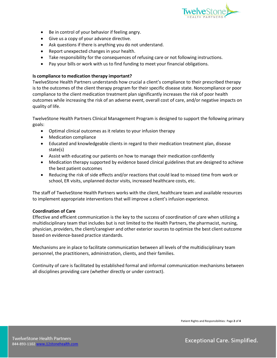

- Be in control of your behavior if feeling angry.
- Give us a copy of your advance directive.
- Ask questions if there is anything you do not understand.
- Report unexpected changes in your health.
- Take responsibility for the consequences of refusing care or not following instructions.
- Pay your bills or work with us to find funding to meet your financial obligations.

#### **Is compliance to medication therapy important?**

TwelveStone Health Partners understands how crucial a client's compliance to their prescribed therapy is to the outcomes of the client therapy program for their specific disease state. Noncompliance or poor compliance to the client medication treatment plan significantly increases the risk of poor health outcomes while increasing the risk of an adverse event, overall cost of care, and/or negative impacts on quality of life.

TwelveStone Health Partners Clinical Management Program is designed to support the following primary goals:

- Optimal clinical outcomes as it relates to your infusion therapy
- Medication compliance
- Educated and knowledgeable clients in regard to their medication treatment plan, disease state(s)
- Assist with educating our patients on how to manage their medication confidently
- Medication therapy supported by evidence based clinical guidelines that are designed to achieve the best patient outcomes
- Reducing the risk of side effects and/or reactions that could lead to missed time from work or school, ER visits, unplanned doctor visits, increased healthcare costs, etc.

The staff of TwelveStone Health Partners works with the client, healthcare team and available resources to implement appropriate interventions that will improve a client's infusion experience.

#### **Coordination of Care**

Effective and efficient communication is the key to the success of coordination of care when utilizing a multidisciplinary team that includes but is not limited to the Health Partners, the pharmacist, nursing, physician, providers, the client/caregiver and other exterior sources to optimize the best client outcome based on evidence-based practice standards.

Mechanisms are in place to facilitate communication between all levels of the multidisciplinary team personnel, the practitioners, administration, clients, and their families.

Continuity of care is facilitated by established formal and informal communication mechanisms between all disciplines providing care (whether directly or under contract).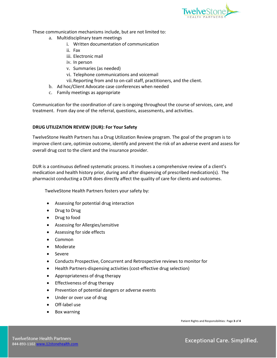

These communication mechanisms include, but are not limited to:

- a. Multidisciplinary team meetings
	- i. Written documentation of communication
	- ii. Fax
	- iii. Electronic mail
	- iv. In person
	- v. Summaries (as needed)
	- vi. Telephone communications and voicemail
	- vii.Reporting from and to on-call staff, practitioners, and the client.
- b. Ad hoc/Client Advocate case conferences when needed
- c. Family meetings as appropriate

Communication for the coordination of care is ongoing throughout the course of services, care, and treatment. From day one of the referral, questions, assessments, and activities.

#### **DRUG UTILIZATION REVIEW (DUR): For Your Safety**

TwelveStone Health Partners has a Drug Utilization Review program. The goal of the program is to improve client care, optimize outcome, identify and prevent the risk of an adverse event and assess for overall drug cost to the client and the insurance provider.

DUR is a continuous defined systematic process. It involves a comprehensive review of a client's medication and health history prior, during and after dispensing of prescribed medication(s). The pharmacist conducting a DUR does directly affect the quality of care for clients and outcomes.

TwelveStone Health Partners fosters your safety by:

- Assessing for potential drug interaction
- Drug to Drug
- Drug to food
- Assessing for Allergies/sensitive
- Assessing for side effects
- Common
- Moderate
- Severe
- Conducts Prospective, Concurrent and Retrospective reviews to monitor for
- Health Partners-dispensing activities (cost-effective drug selection)
- Appropriateness of drug therapy
- Effectiveness of drug therapy
- Prevention of potential dangers or adverse events
- Under or over use of drug
- Off-label use
- Box warning

Patient Rights and Responsibilities: Page **3** of **4**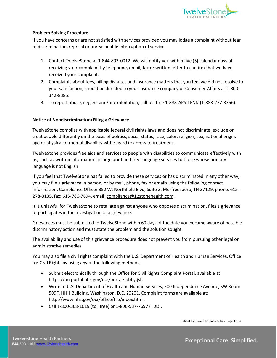

#### **Problem Solving Procedure**

If you have concerns or are not satisfied with services provided you may lodge a complaint without fear of discrimination, reprisal or unreasonable interruption of service:

- 1. Contact TwelveStone at 1-844-893-0012. We will notify you within five (5) calendar days of receiving your complaint by telephone, email, fax or written letter to confirm that we have received your complaint.
- 2. Complaints about fees, billing disputes and insurance matters that you feel we did not resolve to your satisfaction, should be directed to your insurance company or Consumer Affairs at 1-800- 342-8385.
- 3. To report abuse, neglect and/or exploitation, call toll free 1-888-APS-TENN (1-888-277-8366).

#### **Notice of Nondiscrimination/Filing a Grievance**

TwelveStone complies with applicable federal civil rights laws and does not discriminate, exclude or treat people differently on the basis of politics, social status, race, color, religion, sex, national origin, age or physical or mental disability with regard to access to treatment.

TwelveStone provides free aids and services to people with disabilities to communicate effectively with us, such as written information in large print and free language services to those whose primary language is not English.

If you feel that TwelveStone has failed to provide these services or has discriminated in any other way, you may file a grievance in person, or by mail, phone, fax or emails using the following contact information. Compliance Officer 352 W. Northfield Blvd, Suite 3, Murfreesboro, TN 37129, phone: 615- 278-3135, fax: 615-786-7694, email: [compliance@12stonehealth.com.](mailto:compliance@12stonehealth.com)

It is unlawful for TwelveStone to retaliate against anyone who opposes discrimination, files a grievance or participates in the investigation of a grievance.

Grievances must be submitted to TwelveStone within 60 days of the date you became aware of possible discriminatory action and must state the problem and the solution sought.

The availability and use of this grievance procedure does not prevent you from pursuing other legal or administrative remedies.

You may also file a civil rights complaint with the U.S. Department of Health and Human Services, Office for Civil Rights by using any of the following methods:

- Submit electronically through the Office for Civil Rights Complaint Portal, available at [https://ocrportal.hhs.gov/ocr/portal/lobby.jsf.](https://ocrportal.hhs.gov/ocr/portal/lobby.jsf)
- Write to U.S. Department of Health and Human Services, 200 Independence Avenue, SW Room 509F, HHH Building, Washington, D.C. 20201. Complaint forms are available at: [http://www.hhs.gov/ocr/office/file/index.html.](http://www.hhs.gov/ocr/office/file/index.html)
- Call 1-800-368-1019 (toll free) or 1-800-537-7697 (TDD).

Patient Rights and Responsibilities: Page **4** of **4**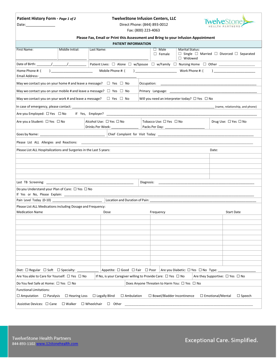|        | Patient History Form - Page 1 of 2 |  |  |
|--------|------------------------------------|--|--|
| $\sim$ |                                    |  |  |

#### **Patient History Form -** *Page 1 of 2* **TwelveStone Infusion Centers, LLC**



Date: 20012

|  | Fax: (800) 223-4063 |
|--|---------------------|
|--|---------------------|

| Please Fax, Email or Print this Assessment and Bring to your Infusion Appointment                                                                                                       |                                                              |                                                                                   |                                                               |  |
|-----------------------------------------------------------------------------------------------------------------------------------------------------------------------------------------|--------------------------------------------------------------|-----------------------------------------------------------------------------------|---------------------------------------------------------------|--|
|                                                                                                                                                                                         | <b>PATIENT INFORMATION</b>                                   |                                                                                   |                                                               |  |
| First Name:<br>Middle Initial:<br>Last Name:                                                                                                                                            |                                                              | <b>Marital Status:</b><br>$\square$ Male<br>$\Box$ Female<br>$\Box$ Widowed       | $\Box$ Single $\Box$ Married $\Box$ Divorced $\Box$ Separated |  |
|                                                                                                                                                                                         |                                                              | Patient Lives: □ Alone □ w/Spouse □ w/Family □ Nursing Home □ Other _____________ |                                                               |  |
| Home Phone #: (<br>Email Address:                                                                                                                                                       | Mobile Phone #: (                                            | and the Work Phone #: (                                                           |                                                               |  |
| May we contact you on your home # and leave a message? $\Box$ Yes $\Box$ No                                                                                                             |                                                              | Occupation:                                                                       |                                                               |  |
| May we contact you on your mobile # and leave a message? $\Box$ Yes $\Box$ No                                                                                                           |                                                              |                                                                                   |                                                               |  |
| May we contact you on your work # and leave a message? $\square$ Yes $\square$ No                                                                                                       |                                                              | Will you need an interpreter today? $\Box$ Yes $\Box$ No                          |                                                               |  |
| In case of emergency, please contact:                                                                                                                                                   |                                                              |                                                                                   | (name, relationship, and phone)                               |  |
| Are you Employed: $\Box$ Yes $\Box$ No                                                                                                                                                  |                                                              |                                                                                   |                                                               |  |
| Are you a Student: □ Yes □ No                                                                                                                                                           | Alcohol Use: □ Yes □ No<br>Drinks Per Week: ________________ | Tobacco Use: $\Box$ Yes $\Box$ No                                                 | Drug Use: $\Box$ Yes $\Box$ No                                |  |
|                                                                                                                                                                                         |                                                              |                                                                                   |                                                               |  |
|                                                                                                                                                                                         |                                                              |                                                                                   |                                                               |  |
| Please List ALL Hospitalizations and Surgeries in the Last 5 years:                                                                                                                     |                                                              |                                                                                   | Date:                                                         |  |
|                                                                                                                                                                                         |                                                              |                                                                                   |                                                               |  |
|                                                                                                                                                                                         |                                                              |                                                                                   |                                                               |  |
|                                                                                                                                                                                         |                                                              |                                                                                   |                                                               |  |
|                                                                                                                                                                                         |                                                              | Diagnosis:                                                                        |                                                               |  |
| Do you Understand your Plan of Care: $\Box$ Yes $\Box$ No                                                                                                                               |                                                              |                                                                                   |                                                               |  |
|                                                                                                                                                                                         |                                                              |                                                                                   |                                                               |  |
|                                                                                                                                                                                         | Location and Duration of Pain:                               |                                                                                   |                                                               |  |
| Please List ALL Medications including Dosage and Frequency:                                                                                                                             |                                                              |                                                                                   |                                                               |  |
| <b>Medication Name</b>                                                                                                                                                                  | Dose                                                         | Frequency                                                                         | <b>Start Date</b>                                             |  |
|                                                                                                                                                                                         |                                                              |                                                                                   |                                                               |  |
|                                                                                                                                                                                         |                                                              |                                                                                   |                                                               |  |
|                                                                                                                                                                                         |                                                              |                                                                                   |                                                               |  |
|                                                                                                                                                                                         |                                                              |                                                                                   |                                                               |  |
|                                                                                                                                                                                         |                                                              |                                                                                   |                                                               |  |
|                                                                                                                                                                                         |                                                              |                                                                                   |                                                               |  |
|                                                                                                                                                                                         |                                                              |                                                                                   |                                                               |  |
| Diet: $\Box$ Regular $\Box$ Soft $\Box$ Specialty:                                                                                                                                      | Appetite: □ Good □ Fair □ Poor                               | Are you Diabetic: □ Yes □ No Type:                                                |                                                               |  |
| Are You able to Care for Yourself: □ Yes □ No<br>If No, is your Caregiver willing to Provide Care: □ Yes □ No<br>Are they Supportive: $\Box$ Yes $\Box$ No                              |                                                              |                                                                                   |                                                               |  |
| Do You feel Safe at Home: $\Box$ Yes $\Box$ No                                                                                                                                          |                                                              | Does Anyone Threaten to Harm You: □ Yes □ No                                      |                                                               |  |
| <b>Functional Limitations:</b>                                                                                                                                                          |                                                              |                                                                                   |                                                               |  |
| $\Box$ Amputation $\Box$ Paralysis<br>$\Box$ Hearing Loss<br>$\Box$ Legally Blind<br>$\Box$ Ambulation<br>$\Box$ Bowel/Bladder Incontinence<br>$\Box$ Emotional/Mental<br>$\Box$ Speech |                                                              |                                                                                   |                                                               |  |
| Assistive Devices: □ Cane<br>$\square$ Walker<br>$\Box$ Wheelchair<br>$\Box$ Other                                                                                                      |                                                              |                                                                                   |                                                               |  |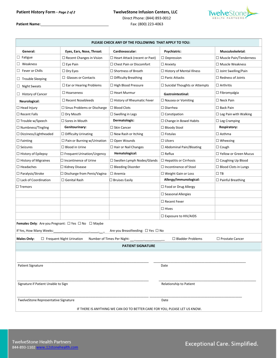### **Patient History Form -** *Page 2 of 2* **TwelveStone Infusion Centers, LLC**



Direct Phone: (844) 893-0012 **Patient Name:** Fax: (800) 223-4063

| PLEASE CHECK ANY OF THE FOLLOWING THAT APPLY TO YOU: |                                                                          |                                                                            |                                      |                               |
|------------------------------------------------------|--------------------------------------------------------------------------|----------------------------------------------------------------------------|--------------------------------------|-------------------------------|
| General:                                             | Eyes, Ears, Nose, Throat:                                                | Cardiovascular:                                                            | Psychiatric:                         | Musculoskeletal:              |
| $\Box$ Fatigue                                       | $\Box$ Recent Changes in Vision                                          | $\Box$ Heart Attack (recent or Past)                                       | $\Box$ Depression                    | $\Box$ Muscle Pain/Tenderness |
| $\Box$ Weakness                                      | $\Box$ Eye Pain                                                          | $\Box$ Chest Pain or Discomfort                                            | $\Box$ Anxiety                       | $\Box$ Muscle Weakness        |
| $\Box$ Fever or Chills                               | $\Box$ Dry Eyes                                                          | $\Box$ Shortness of Breath                                                 | □ History of Mental Illness          | $\Box$ Joint Swelling/Pain    |
| $\Box$ Trouble Sleeping                              | $\Box$ Glasses or Contacts                                               | $\Box$ Difficulty Breathing                                                | $\Box$ Panic Attacks                 | $\Box$ Redness of Joints      |
| $\Box$ Night Sweats                                  | $\Box$ Ear or Hearing Problems                                           | $\Box$ High Blood Pressure                                                 | $\Box$ Suicidal Thoughts or Attempts | $\square$ Arthritis           |
| $\Box$ History of Cancer                             | $\Box$ Hoarseness                                                        | $\Box$ Heart Murmur                                                        | <b>Gastrointestinal:</b>             | $\Box$ Fibromyalgia           |
| Neurological:                                        | $\Box$ Recent Nosebleeds                                                 | $\Box$ History of Rheumatic Fever                                          | $\Box$ Nausea or Vomiting            | $\Box$ Neck Pain              |
| $\Box$ Head Injury                                   | $\Box$ Sinus Problems or Discharge                                       | $\Box$ Blood Clots                                                         | $\Box$ Diarrhea                      | $\square$ Back Pain           |
| $\Box$ Recent Falls                                  | $\Box$ Dry Mouth                                                         | $\Box$ Swelling in Legs                                                    | $\Box$ Constipation                  | $\Box$ Leg Pain with Walking  |
| $\Box$ Trouble w/Speech                              | $\Box$ Sores in Mouth                                                    | Dermatologic:                                                              | $\Box$ Change in Bowel Habits        | $\Box$ Leg Cramping           |
| $\Box$ Numbness/Tingling                             | Genitourinary:                                                           | $\Box$ Skin Cancer                                                         | □ Bloody Stool                       | Respiratory:                  |
| $\Box$ Dizziness/Lightheaded                         | $\Box$ Difficulty Urinating                                              | $\Box$ New Rash or Itching                                                 | $\Box$ Fistulas                      | $\Box$ Asthma                 |
| $\Box$ Fainting                                      | $\Box$ Pain or Burning w/Urination                                       | $\Box$ Open Wounds                                                         | $\Box$ Ulcers                        | $\Box$ Wheezing               |
| $\Box$ Seizures                                      | $\Box$ Blood in Urine                                                    | $\Box$ Hair or Nail Changes                                                | $\Box$ Abdominal Pain/Bloating       | $\Box$ Cough                  |
| $\Box$ History of Epilepsy                           | $\Box$ Frequent Urination/Urgency                                        | Hematological:                                                             | $\Box$ Reflux                        | □ Yellow or Green Mucus       |
| $\Box$ History of Migraines                          | $\square$ Incontinence of Urine                                          | $\Box$ Swollen Lymph Nodes/Glands                                          | $\Box$ Hepatitis or Cirrhosis        | $\Box$ Coughing Up Blood      |
| $\Box$ Headaches                                     | □ Kidney Disease                                                         | $\Box$ Bleeding Disorder                                                   | $\Box$ Incontinence of Stool         | $\Box$ Blood Clots in Lungs   |
| $\Box$ Paralysis/Stroke                              | $\Box$ Discharge from Penis/Vagina                                       | $\Box$ Anemia                                                              | $\Box$ Weight Gain or Loss           | $\Box$ TB                     |
| $\Box$ Lack of Coordination                          | $\Box$ Genital Rash                                                      | $\Box$ Bruises Easily                                                      | Allergy/Immunological:               | $\Box$ Painful Breathing      |
| $\Box$ Tremors                                       |                                                                          |                                                                            | □ Food or Drug Allergy               |                               |
|                                                      |                                                                          |                                                                            | $\Box$ Seasonal Allergies            |                               |
|                                                      |                                                                          |                                                                            | $\Box$ Recent Fever                  |                               |
|                                                      |                                                                          |                                                                            | $\Box$ Hives                         |                               |
|                                                      |                                                                          |                                                                            | $\Box$ Exposure to HIV/AIDS          |                               |
|                                                      | <b>Females Only:</b> Are you Pregnant: $\Box$ Yes $\Box$ No $\Box$ Maybe |                                                                            |                                      |                               |
| If Yes, How Many Weeks:                              |                                                                          | Are you Breastfeeding: $\Box$ Yes $\Box$ No                                |                                      |                               |
| <b>Males Only:</b>                                   | $\Box$ Frequent Night Urination                                          | Number of Times Per Night:                                                 | $\Box$ Bladder Problems              | □ Prostate Cancer             |
|                                                      |                                                                          | <b>PATIENT SIGNATURE</b>                                                   |                                      |                               |
|                                                      |                                                                          |                                                                            |                                      |                               |
|                                                      |                                                                          |                                                                            |                                      |                               |
| <b>Patient Signature</b>                             |                                                                          |                                                                            | Date                                 |                               |
|                                                      |                                                                          |                                                                            |                                      |                               |
| Signature if Patient Unable to Sign                  |                                                                          | Relationship to Patient                                                    |                                      |                               |
| TwelveStone Representative Signature                 |                                                                          |                                                                            | Date                                 |                               |
|                                                      |                                                                          | IF THERE IS ANYTHING WE CAN DO TO BETTER CARE FOR YOU, PLEASE LET US KNOW. |                                      |                               |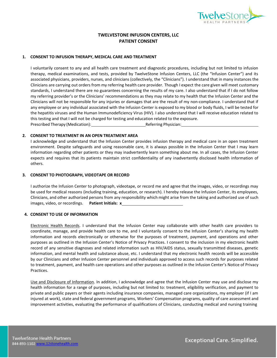

#### **TWELVESTONE INFUSION CENTERS, LLC PATIENT CONSENT**

#### **1. CONSENT TO INFUSION THERAPY, MEDICAL CARE AND TREATMENT**

I voluntarily consent to any and all health care treatment and diagnostic procedures, including but not limited to infusion therapy, medical examinations, and tests, provided by TwelveStone Infusion Centers, LLC (the "Infusion Center") and its associated physicians, providers, nurses, and clinicians (collectively, the "Clinicians"). I understand that in many instances the Clinicians are carrying out orders from my referring health care provider. Though I expect the care given will meet customary standards, I understand there are no guarantees concerning the results of my care. I also understand that if I do not follow my referring provider's or the Clinicians' recommendations as they may relate to my health that the Infusion Center and the Clinicians will not be responsible for any injuries or damages that are the result of my non-compliance. I understand that if any employee or any individual associated with the Infusion Center is exposed to my blood or body fluids, I will be tested for the hepatitis viruses and the Human Immunodeficiency Virus (HIV). I also understand that I will receive education related to this testing and that I will not be charged for testing and education related to the exposure. Prescribed Therapy (Medication): Referring Physician:

#### **2. CONSENT TO TREATMENT IN AN OPEN TREATMENT AREA**

I acknowledge and understand that the Infusion Center provides infusion therapy and medical care in an open treatment environment. Despite safeguards and using reasonable care, it is always possible in the Infusion Center that I may learn information regarding other patients or they may inadvertently learn something about me. In all cases, the Infusion Center expects and requires that its patients maintain strict confidentiality of any inadvertently disclosed health information of others.

#### **3. CONSENT TO PHOTOGRAPH, VIDEOTAPE OR RECORD**

I authorize the Infusion Center to photograph, videotape, or record me and agree that the images, video, or recordings may be used for medical reasons (including training, education, or research). I hereby release the Infusion Center, its employees, Clinicians, and other authorized persons from any responsibility which might arise from the taking and authorized use of such images, video, or recordings. **Patient Initials: x**

#### **4. CONSENT TO USE OF INFORMATION**

Electronic Health Records. I understand that the Infusion Center may collaborate with other health care providers to coordinate, manage, and provide health care to me, and I voluntarily consent to the Infusion Center's sharing my health information and records electronically or otherwise for the purposes of treatment, payment, and operations and other purposes as outlined in the Infusion Center's Notice of Privacy Practices. I consent to the inclusion in my electronic health record of any sensitive diagnoses and related information such as HIV/AIDS status, sexually transmitted diseases, genetic information, and mental health and substance abuse, etc. I understand that my electronic health records will be accessible by our Clinicians and other Infusion Center personnel and individuals approved to access such records for purposes related to treatment, payment, and health care operations and other purposes as outlined in the Infusion Center's Notice of Privacy Practices.

Use and Disclosure of Information. In addition, I acknowledge and agree that the Infusion Center may use and disclose my health information for a range of purposes, including but not limited to: treatment, eligibility verification, and payment to private and public payers or their agents including insurance companies, managed care organizations, my employer (if I am injured at work), state and federal government programs, Workers' Compensation programs, quality of care assessment and improvement activities, evaluating the performance of qualifications of Clinicians, conducting medical and nursing training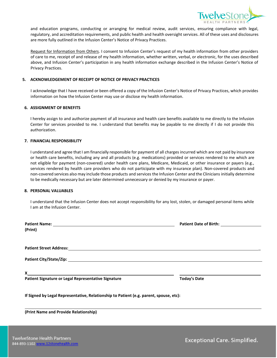

and education programs, conducting or arranging for medical review, audit services, ensuring compliance with legal, regulatory, and accreditation requirements, and public health and health oversight services. All of these uses and disclosures are more fully outlined in the Infusion Center's Notice of Privacy Practices.

Request for Information from Others. I consent to Infusion Center's request of my health information from other providers of care to me, receipt of and release of my health information, whether written, verbal, or electronic, for the uses described above, and Infusion Center's participation in any health information exchange described in the Infusion Center's Notice of Privacy Practices.

#### **5. ACKNOWLEDGEMENT OF RECEIPT OF NOTICE OF PRIVACY PRACTICES**

I acknowledge that I have received or been offered a copy of the Infusion Center's Notice of Privacy Practices, which provides information on how the Infusion Center may use or disclose my health information.

#### **6. ASSIGNMENT OF BENEFITS**

I hereby assign to and authorize payment of all insurance and health care benefits available to me directly to the Infusion Center for services provided to me. I understand that benefits may be payable to me directly if I do not provide this authorization.

#### **7. FINANCIAL RESPONSIBILITY**

I understand and agree that I am financially responsible for payment of all charges incurred which are not paid by insurance or health care benefits, including any and all products (e.g. medications) provided or services rendered to me which are not eligible for payment (non-covered) under health care plans, Medicare, Medicaid, or other insurance or payers (e.g., services rendered by health care providers who do not participate with my insurance plan). Non-covered products and non-covered services also may include those products and services the Infusion Center and the Clinicians initially determine to be medically necessary but are later determined unnecessary or denied by my insurance or payer.

#### **8. PERSONAL VALUABLES**

I understand that the Infusion Center does not accept responsibility for any lost, stolen, or damaged personal items while I am at the Infusion Center.

| (Print)                                                                                |                     |
|----------------------------------------------------------------------------------------|---------------------|
|                                                                                        |                     |
|                                                                                        |                     |
|                                                                                        |                     |
|                                                                                        |                     |
| Patient Signature or Legal Representative Signature                                    | <b>Today's Date</b> |
| If Signed by Legal Representative, Relationship to Patient (e.g. parent, spouse, etc): |                     |
| (Print Name and Provide Relationship)                                                  |                     |